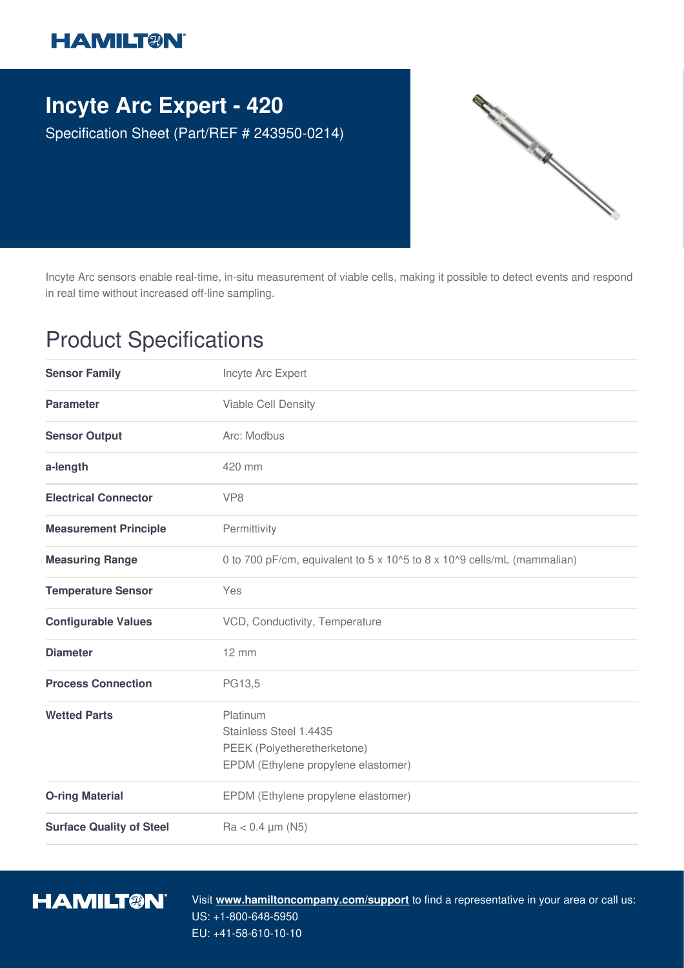## **HAMILT®N**

## **Incyte Arc Expert - 420**

Specification Sheet (Part/REF # 243950-0214)



Incyte Arc sensors enable real-time, in-situ measurement of viable cells, making it possible to detect events and respond in real time without increased off-line sampling.

## Product Specifications

| <b>Sensor Family</b>            | Incyte Arc Expert                                                                                        |
|---------------------------------|----------------------------------------------------------------------------------------------------------|
| <b>Parameter</b>                | Viable Cell Density                                                                                      |
| <b>Sensor Output</b>            | Arc: Modbus                                                                                              |
| a-length                        | 420 mm                                                                                                   |
| <b>Electrical Connector</b>     | VP <sub>8</sub>                                                                                          |
| <b>Measurement Principle</b>    | Permittivity                                                                                             |
| <b>Measuring Range</b>          | 0 to 700 pF/cm, equivalent to 5 x 10^5 to 8 x 10^9 cells/mL (mammalian)                                  |
| <b>Temperature Sensor</b>       | Yes                                                                                                      |
| <b>Configurable Values</b>      | VCD, Conductivity, Temperature                                                                           |
| <b>Diameter</b>                 | $12 \, \text{mm}$                                                                                        |
| <b>Process Connection</b>       | PG13,5                                                                                                   |
| <b>Wetted Parts</b>             | Platinum<br>Stainless Steel 1.4435<br>PEEK (Polyetheretherketone)<br>EPDM (Ethylene propylene elastomer) |
| <b>O-ring Material</b>          | EPDM (Ethylene propylene elastomer)                                                                      |
| <b>Surface Quality of Steel</b> | $Ra < 0.4 \mu m (N5)$                                                                                    |



Visit **www.hamiltoncompany.com/support** to find a representative in your area or call us: US: +1-800-648-5950 EU: +41-58-610-10-10